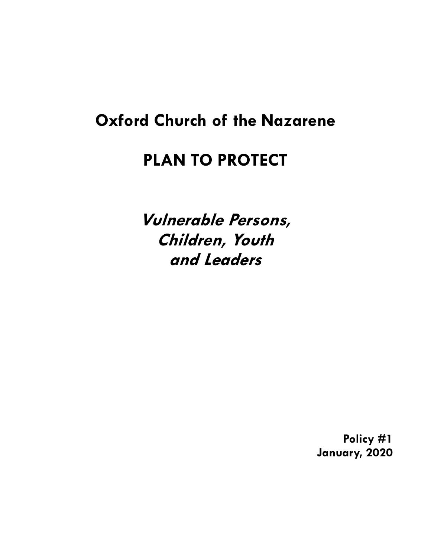# **Oxford Church of the Nazarene**

# **PLAN TO PROTECT**

**Vulnerable Persons, Children, Youth and Leaders**

> **Policy #1 January, 2020**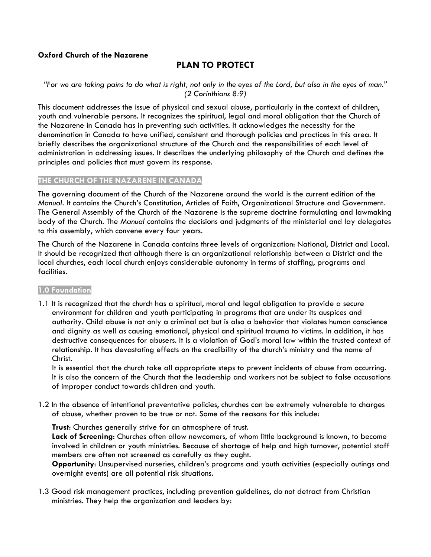# **Oxford Church of the Nazarene**

# **PLAN TO PROTECT**

#### *"For we are taking pains to do what is right, not only in the eyes of the Lord, but also in the eyes of man." (2 Corinthians 8:9)*

This document addresses the issue of physical and sexual abuse, particularly in the context of children, youth and vulnerable persons. It recognizes the spiritual, legal and moral obligation that the Church of the Nazarene in Canada has in preventing such activities. It acknowledges the necessity for the denomination in Canada to have unified, consistent and thorough policies and practices in this area. It briefly describes the organizational structure of the Church and the responsibilities of each level of administration in addressing issues. It describes the underlying philosophy of the Church and defines the principles and policies that must govern its response.

#### **THE CHURCH OF THE NAZARENE IN CANADA**

The governing document of the Church of the Nazarene around the world is the current edition of the *Manual*. It contains the Church's Constitution, Articles of Faith, Organizational Structure and Government. The General Assembly of the Church of the Nazarene is the supreme doctrine formulating and lawmaking body of the Church. The *Manual* contains the decisions and judgments of the ministerial and lay delegates to this assembly, which convene every four years.

The Church of the Nazarene in Canada contains three levels of organization: National, District and Local*.*  It should be recognized that although there is an organizational relationship between a District and the local churches, each local church enjoys considerable autonomy in terms of staffing, programs and facilities.

#### **1.0 Foundation**

1.1 It is recognized that the church has a spiritual, moral and legal obligation to provide a secure environment for children and youth participating in programs that are under its auspices and authority. Child abuse is not only a criminal act but is also a behavior that violates human conscience and dignity as well as causing emotional, physical and spiritual trauma to victims. In addition, it has destructive consequences for abusers. It is a violation of God's moral law within the trusted context of relationship. It has devastating effects on the credibility of the church's ministry and the name of Christ.

 It is essential that the church take all appropriate steps to prevent incidents of abuse from occurring. It is also the concern of the Church that the leadership and workers not be subject to false accusations of improper conduct towards children and youth.

1.2 In the absence of intentional preventative policies, churches can be extremely vulnerable to charges of abuse, whether proven to be true or not. Some of the reasons for this include:

**Trust**: Churches generally strive for an atmosphere of trust.

**Lack of Screening**: Churches often allow newcomers, of whom little background is known, to become involved in children or youth ministries. Because of shortage of help and high turnover, potential staff members are often not screened as carefully as they ought.

**Opportunity**: Unsupervised nurseries, children's programs and youth activities (especially outings and overnight events) are all potential risk situations.

1.3 Good risk management practices, including prevention guidelines, do not detract from Christian ministries. They help the organization and leaders by: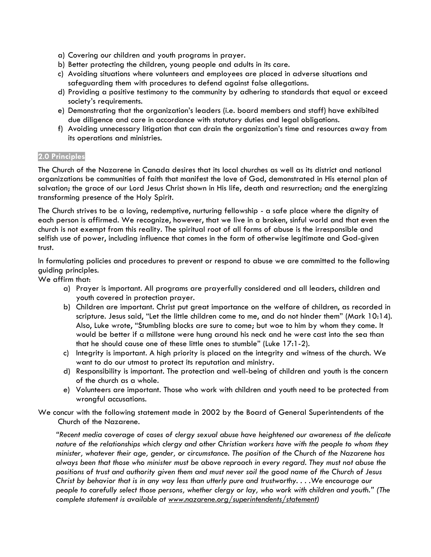- a) Covering our children and youth programs in prayer.
- b) Better protecting the children, young people and adults in its care.
- c) Avoiding situations where volunteers and employees are placed in adverse situations and safeguarding them with procedures to defend against false allegations.
- d) Providing a positive testimony to the community by adhering to standards that equal or exceed society's requirements.
- e) Demonstrating that the organization's leaders (i.e. board members and staff) have exhibited due diligence and care in accordance with statutory duties and legal obligations.
- f) Avoiding unnecessary litigation that can drain the organization's time and resources away from its operations and ministries.

### **2.0 Principles**

The Church of the Nazarene in Canada desires that its local churches as well as its district and national organizations be communities of faith that manifest the love of God, demonstrated in His eternal plan of salvation; the grace of our Lord Jesus Christ shown in His life, death and resurrection; and the energizing transforming presence of the Holy Spirit.

The Church strives to be a loving, redemptive, nurturing fellowship - a safe place where the dignity of each person is affirmed. We recognize, however, that we live in a broken, sinful world and that even the church is not exempt from this reality. The spiritual root of all forms of abuse is the irresponsible and selfish use of power, including influence that comes in the form of otherwise legitimate and God-given trust.

In formulating policies and procedures to prevent or respond to abuse we are committed to the following guiding principles.

We affirm that:

- a) Prayer is important. All programs are prayerfully considered and all leaders, children and youth covered in protection prayer.
- b) Children are important. Christ put great importance on the welfare of children, as recorded in scripture. Jesus said, "Let the little children come to me, and do not hinder them" (Mark 10:14). Also, Luke wrote, "Stumbling blocks are sure to come; but woe to him by whom they come. It would be better if a millstone were hung around his neck and he were cast into the sea than that he should cause one of these little ones to stumble" (Luke 17:1-2).
- c) Integrity is important. A high priority is placed on the integrity and witness of the church. We want to do our utmost to protect its reputation and ministry.
- d) Responsibility is important. The protection and well-being of children and youth is the concern of the church as a whole.
- e) Volunteers are important. Those who work with children and youth need to be protected from wrongful accusations.
- We concur with the following statement made in 2002 by the Board of General Superintendents of the Church of the Nazarene.

*"Recent media coverage of cases of clergy sexual abuse have heightened our awareness of the delicate nature of the relationships which clergy and other Christian workers have with the people to whom they minister, whatever their age, gender, or circumstance. The position of the Church of the Nazarene has always been that those who minister must be above reproach in every regard. They must not abuse the positions of trust and authority given them and must never soil the good name of the Church of Jesus Christ by behavior that is in any way less than utterly pure and trustworthy. . . .We encourage our people to carefully select those persons, whether clergy or lay, who work with children and youth." (The complete statement is available at www.nazarene.org/superintendents/statement)*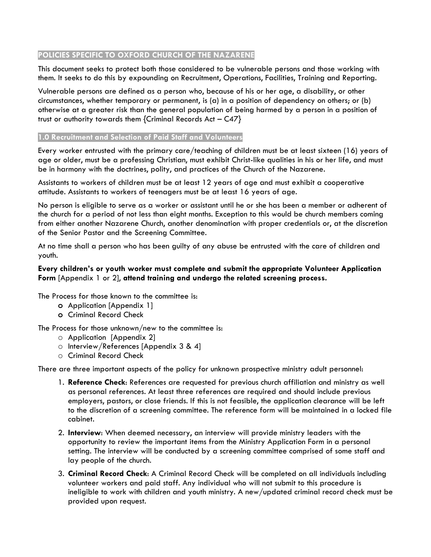# **POLICIES SPECIFIC TO OXFORD CHURCH OF THE NAZARENE**

This document seeks to protect both those considered to be vulnerable persons and those working with them. It seeks to do this by expounding on Recruitment, Operations, Facilities, Training and Reporting.

Vulnerable persons are defined as a person who, because of his or her age, a disability, or other circumstances, whether temporary or permanent, is (a) in a position of dependency on others; or (b) otherwise at a greater risk than the general population of being harmed by a person in a position of trust or authority towards them {Criminal Records Act – C47}

### **1.0 Recruitment and Selection of Paid Staff and Volunteers**

Every worker entrusted with the primary care/teaching of children must be at least sixteen (16) years of age or older, must be a professing Christian, must exhibit Christ-like qualities in his or her life, and must be in harmony with the doctrines, polity, and practices of the Church of the Nazarene.

Assistants to workers of children must be at least 12 years of age and must exhibit a cooperative attitude. Assistants to workers of teenagers must be at least 16 years of age.

No person is eligible to serve as a worker or assistant until he or she has been a member or adherent of the church for a period of not less than eight months. Exception to this would be church members coming from either another Nazarene Church, another denomination with proper credentials or, at the discretion of the Senior Pastor and the Screening Committee.

At no time shall a person who has been guilty of any abuse be entrusted with the care of children and youth.

# **Every children's or youth worker must complete and submit the appropriate Volunteer Application Form** [Appendix 1 or 2], **attend training and undergo the related screening process.**

The Process for those known to the committee is:

- **o** Application [Appendix 1]
- **o** Criminal Record Check

The Process for those unknown/new to the committee is:

- o Application [Appendix 2]
- o Interview/References [Appendix 3 & 4]
- o Criminal Record Check

There are three important aspects of the policy for unknown prospective ministry adult personnel:

- 1. **Reference Check**: References are requested for previous church affiliation and ministry as well as personal references. At least three references are required and should include previous employers, pastors, or close friends. If this is not feasible, the application clearance will be left to the discretion of a screening committee. The reference form will be maintained in a locked file cabinet.
- 2. **Interview**: When deemed necessary, an interview will provide ministry leaders with the opportunity to review the important items from the Ministry Application Form in a personal setting. The interview will be conducted by a screening committee comprised of some staff and lay people of the church.
- 3. **Criminal Record Check**: A Criminal Record Check will be completed on all individuals including volunteer workers and paid staff. Any individual who will not submit to this procedure is ineligible to work with children and youth ministry. A new/updated criminal record check must be provided upon request.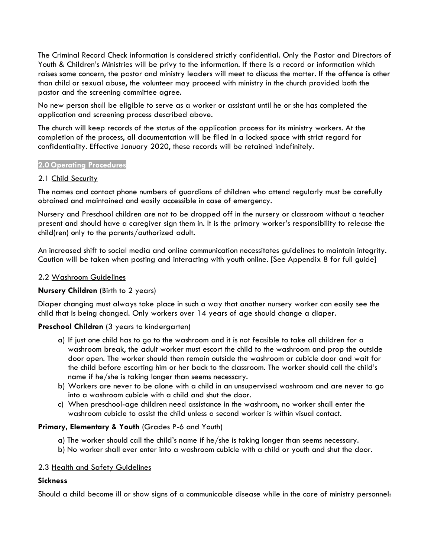The Criminal Record Check information is considered strictly confidential. Only the Pastor and Directors of Youth & Children's Ministries will be privy to the information. If there is a record or information which raises some concern, the pastor and ministry leaders will meet to discuss the matter. If the offence is other than child or sexual abuse, the volunteer may proceed with ministry in the church provided both the pastor and the screening committee agree.

No new person shall be eligible to serve as a worker or assistant until he or she has completed the application and screening process described above.

The church will keep records of the status of the application process for its ministry workers. At the completion of the process, all documentation will be filed in a locked space with strict regard for confidentiality. Effective January 2020, these records will be retained indefinitely.

#### **2.0 Operating Procedures**

#### 2.1 Child Security

The names and contact phone numbers of guardians of children who attend regularly must be carefully obtained and maintained and easily accessible in case of emergency.

Nursery and Preschool children are not to be dropped off in the nursery or classroom without a teacher present and should have a caregiver sign them in. It is the primary worker's responsibility to release the child(ren) only to the parents/authorized adult.

An increased shift to social media and online communication necessitates guidelines to maintain integrity. Caution will be taken when posting and interacting with youth online. [See Appendix 8 for full guide]

#### 2.2 Washroom Guidelines

#### **Nursery Children** (Birth to 2 years)

Diaper changing must always take place in such a way that another nursery worker can easily see the child that is being changed. Only workers over 14 years of age should change a diaper.

#### **Preschool Children** (3 years to kindergarten)

- a) If just one child has to go to the washroom and it is not feasible to take all children for a washroom break, the adult worker must escort the child to the washroom and prop the outside door open. The worker should then remain outside the washroom or cubicle door and wait for the child before escorting him or her back to the classroom. The worker should call the child's name if he/she is taking longer than seems necessary.
- b) Workers are never to be alone with a child in an unsupervised washroom and are never to go into a washroom cubicle with a child and shut the door.
- c) When preschool-age children need assistance in the washroom, no worker shall enter the washroom cubicle to assist the child unless a second worker is within visual contact.

#### **Primary, Elementary & Youth** (Grades P-6 and Youth)

- a) The worker should call the child's name if he/she is taking longer than seems necessary.
- b) No worker shall ever enter into a washroom cubicle with a child or youth and shut the door.

#### 2.3 Health and Safety Guidelines

#### **Sickness**

Should a child become ill or show signs of a communicable disease while in the care of ministry personnel: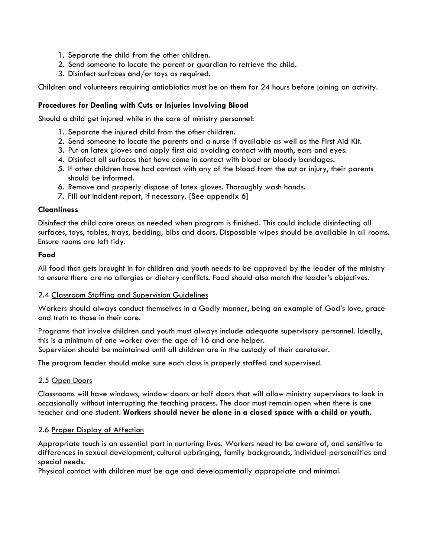- 1. Separate the child from the other children.
- 2. Send someone to locate the parent or guardian to retrieve the child.
- 3. Disinfect surfaces and/or toys as required.

Children and volunteers requiring antiobiotics must be on them for 24 hours before joining an activity.

### **Procedures for Dealing with Cuts or Injuries Involving Blood**

Should a child get injured while in the care of ministry personnel:

- 1. Separate the injured child from the other children.
- 2. Send someone to locate the parents and a nurse if available as well as the First Aid Kit.
- 3. Put on latex gloves and apply first aid avoiding contact with mouth, ears and eyes.
- 4. Disinfect all surfaces that have come in contact with blood or bloody bandages.
- 5. If other children have had contact with any of the blood from the cut or injury, their parents should be informed.
- 6. Remove and properly dispose of latex gloves. Thoroughly wash hands.
- 7. Fill out incident report, if necessary. [See appendix 6]

#### **Cleanliness**

Disinfect the child care areas as needed when program is finished. This could include disinfecting all surfaces, toys, tables, trays, bedding, bibs and doors. Disposable wipes should be available in all rooms. Ensure rooms are left tidy.

#### **Food**

All food that gets brought in for children and youth needs to be approved by the leader of the ministry to ensure there are no allergies or dietary conflicts. Food should also match the leader's objectives.

#### 2.4 Classroom Staffing and Supervision Guidelines

Workers should always conduct themselves in a Godly manner, being an example of God's love, grace and truth to those in their care.

Programs that involve children and youth must always include adequate supervisory personnel. Ideally, this is a minimum of one worker over the age of 16 and one helper. Supervision should be maintained until all children are in the custody of their caretaker.

The program leader should make sure each class is properly staffed and supervised.

#### 2.5 Open Doors

Classrooms will have windows, window doors or half doors that will allow ministry supervisors to look in occasionally without interrupting the teaching process. The door must remain open when there is one teacher and one student. **Workers should never be alone in a closed space with a child or youth.** 

#### 2.6 Proper Display of Affection

Appropriate touch is an essential part in nurturing lives. Workers need to be aware of, and sensitive to differences in sexual development, cultural upbringing, family backgrounds, individual personalities and special needs.

Physical contact with children must be age and developmentally appropriate and minimal.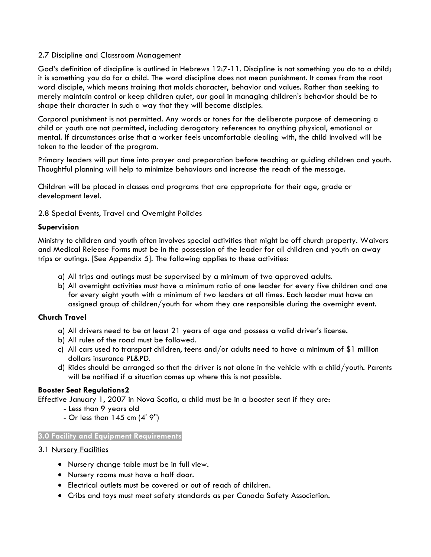### 2.7 Discipline and Classroom Management

God's definition of discipline is outlined in Hebrews 12:7-11. Discipline is not something you do to a child; it is something you do for a child. The word discipline does not mean punishment. It comes from the root word disciple, which means training that molds character, behavior and values. Rather than seeking to merely maintain control or keep children quiet, our goal in managing children's behavior should be to shape their character in such a way that they will become disciples.

Corporal punishment is not permitted. Any words or tones for the deliberate purpose of demeaning a child or youth are not permitted, including derogatory references to anything physical, emotional or mental. If circumstances arise that a worker feels uncomfortable dealing with, the child involved will be taken to the leader of the program.

Primary leaders will put time into prayer and preparation before teaching or guiding children and youth. Thoughtful planning will help to minimize behaviours and increase the reach of the message.

Children will be placed in classes and programs that are appropriate for their age, grade or development level.

# 2.8 Special Events, Travel and Overnight Policies

# **Supervision**

Ministry to children and youth often involves special activities that might be off church property. Waivers and Medical Release Forms must be in the possession of the leader for all children and youth on away trips or outings. [See Appendix 5]. The following applies to these activities:

- a) All trips and outings must be supervised by a minimum of two approved adults.
- b) All overnight activities must have a minimum ratio of one leader for every five children and one for every eight youth with a minimum of two leaders at all times. Each leader must have an assigned group of children/youth for whom they are responsible during the overnight event.

# **Church Travel**

- a) All drivers need to be at least 21 years of age and possess a valid driver's license.
- b) All rules of the road must be followed.
- c) All cars used to transport children, teens and/or adults need to have a minimum of \$1 million dollars insurance PL&PD.
- d) Rides should be arranged so that the driver is not alone in the vehicle with a child/youth. Parents will be notified if a situation comes up where this is not possible.

# **Booster Seat Regulations2**

Effective January 1, 2007 in Nova Scotia, a child must be in a booster seat if they are:

- Less than 9 years old
- Or less than  $145$  cm  $(4' 9'')$

#### **3.0 Facility and Equipment Requirements**

#### 3.1 Nursery Facilities

- Nursery change table must be in full view.
- Nursery rooms must have a half door.
- Electrical outlets must be covered or out of reach of children.
- Cribs and toys must meet safety standards as per Canada Safety Association.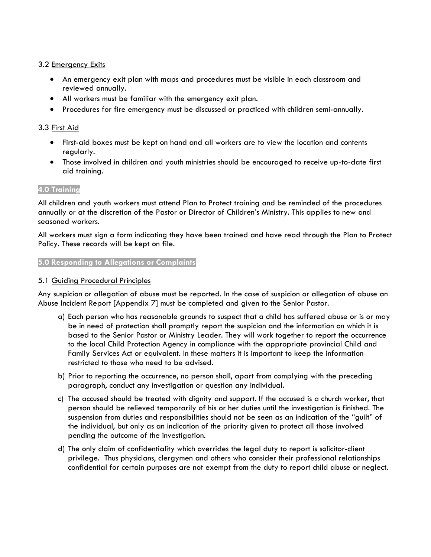# 3.2 Emergency Exits

- An emergency exit plan with maps and procedures must be visible in each classroom and reviewed annually.
- All workers must be familiar with the emergency exit plan.
- Procedures for fire emergency must be discussed or practiced with children semi-annually.

# 3.3 First Aid

- First-aid boxes must be kept on hand and all workers are to view the location and contents regularly.
- Those involved in children and youth ministries should be encouraged to receive up-to-date first aid training.

#### **4.0 Training**

All children and youth workers must attend Plan to Protect training and be reminded of the procedures annually or at the discretion of the Pastor or Director of Children's Ministry. This applies to new and seasoned workers.

All workers must sign a form indicating they have been trained and have read through the Plan to Protect Policy. These records will be kept on file.

#### **5.0 Responding to Allegations or Complaints**

#### 5.1 Guiding Procedural Principles

Any suspicion or allegation of abuse must be reported. In the case of suspicion or allegation of abuse an Abuse Incident Report [Appendix 7] must be completed and given to the Senior Pastor.

- a) Each person who has reasonable grounds to suspect that a child has suffered abuse or is or may be in need of protection shall promptly report the suspicion and the information on which it is based to the Senior Pastor or Ministry Leader. They will work together to report the occurrence to the local Child Protection Agency in compliance with the appropriate provincial Child and Family Services Act or equivalent. In these matters it is important to keep the information restricted to those who need to be advised.
- b) Prior to reporting the occurrence, no person shall, apart from complying with the preceding paragraph, conduct any investigation or question any individual.
- c) The accused should be treated with dignity and support. If the accused is a church worker, that person should be relieved temporarily of his or her duties until the investigation is finished. The suspension from duties and responsibilities should not be seen as an indication of the "guilt" of the individual, but only as an indication of the priority given to protect all those involved pending the outcome of the investigation.
- d) The only claim of confidentiality which overrides the legal duty to report is solicitor-client privilege. Thus physicians, clergymen and others who consider their professional relationships confidential for certain purposes are not exempt from the duty to report child abuse or neglect.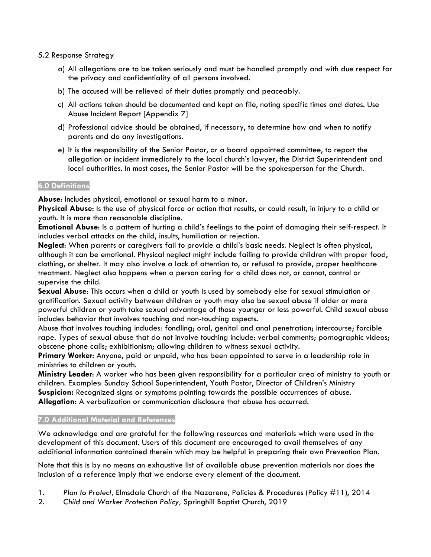### 5.2 Response Strategy

- a) All allegations are to be taken seriously and must be handled promptly and with due respect for the privacy and confidentiality of all persons involved.
- b) The accused will be relieved of their duties promptly and peaceably.
- c) All actions taken should be documented and kept on file, noting specific times and dates. Use Abuse Incident Report [Appendix 7]
- d) Professional advice should be obtained, if necessary, to determine how and when to notify parents and do any investigations.
- e) It is the responsibility of the Senior Pastor, or a board appointed committee, to report the allegation or incident immediately to the local church's lawyer, the District Superintendent and local authorities. In most cases, the Senior Pastor will be the spokesperson for the Church.

# **6.0 Definitions**

**Abuse**: Includes physical, emotional or sexual harm to a minor.

**Physical Abuse**: Is the use of physical force or action that results, or could result, in injury to a child or youth. It is more than reasonable discipline.

**Emotional Abuse**: Is a pattern of hurting a child's feelings to the point of damaging their self-respect. It includes verbal attacks on the child, insults, humiliation or rejection.

**Neglect**: When parents or caregivers fail to provide a child's basic needs. Neglect is often physical, although it can be emotional. Physical neglect might include failing to provide children with proper food, clothing, or shelter. It may also involve a lack of attention to, or refusal to provide, proper healthcare treatment. Neglect also happens when a person caring for a child does not, or cannot, control or supervise the child.

**Sexual Abuse**: This occurs when a child or youth is used by somebody else for sexual stimulation or gratification. Sexual activity between children or youth may also be sexual abuse if older or more powerful children or youth take sexual advantage of those younger or less powerful. Child sexual abuse includes behavior that involves touching and non-touching aspects**.**

Abuse that involves touching includes*:* fondling; oral, genital and anal penetration; intercourse; forcible rape. Types of sexual abuse that do not involve touching include: verbal comments; pornographic videos; obscene phone calls; exhibitionism; allowing children to witness sexual activity.

**Primary Worker**: Anyone, paid or unpaid, who has been appointed to serve in a leadership role in ministries to children or youth.

**Ministry Leader**: A worker who has been given responsibility for a particular area of ministry to youth or children. Examples: Sunday School Superintendent, Youth Pastor, Director of Children's Ministry **Suspicion:** Recognized signs or symptoms pointing towards the possible occurrences of abuse. **Allegation:** A verbalization or communication disclosure that abuse has occurred.

# **7.0 Additional Material and References**

We acknowledge and are grateful for the following resources and materials which were used in the development of this document. Users of this document are encouraged to avail themselves of any additional information contained therein which may be helpful in preparing their own Prevention Plan.

Note that this is by no means an exhaustive list of available abuse prevention materials nor does the inclusion of a reference imply that we endorse every element of the document.

- 1. *Plan to Protect,* Elmsdale Church of the Nazarene, Policies & Procedures (Policy #11), 2014
- 2. *Child and Worker Protection Policy,* Springhill Baptist Church, 2019